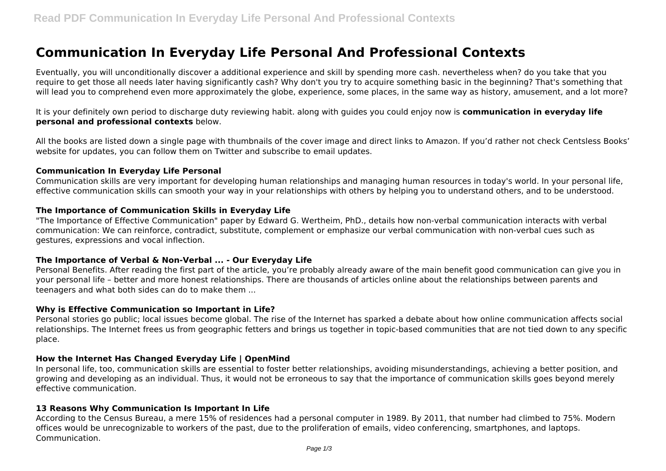# **Communication In Everyday Life Personal And Professional Contexts**

Eventually, you will unconditionally discover a additional experience and skill by spending more cash. nevertheless when? do you take that you require to get those all needs later having significantly cash? Why don't you try to acquire something basic in the beginning? That's something that will lead you to comprehend even more approximately the globe, experience, some places, in the same way as history, amusement, and a lot more?

It is your definitely own period to discharge duty reviewing habit. along with guides you could enjoy now is **communication in everyday life personal and professional contexts** below.

All the books are listed down a single page with thumbnails of the cover image and direct links to Amazon. If you'd rather not check Centsless Books' website for updates, you can follow them on Twitter and subscribe to email updates.

#### **Communication In Everyday Life Personal**

Communication skills are very important for developing human relationships and managing human resources in today's world. In your personal life, effective communication skills can smooth your way in your relationships with others by helping you to understand others, and to be understood.

#### **The Importance of Communication Skills in Everyday Life**

"The Importance of Effective Communication" paper by Edward G. Wertheim, PhD., details how non-verbal communication interacts with verbal communication: We can reinforce, contradict, substitute, complement or emphasize our verbal communication with non-verbal cues such as gestures, expressions and vocal inflection.

#### **The Importance of Verbal & Non-Verbal ... - Our Everyday Life**

Personal Benefits. After reading the first part of the article, you're probably already aware of the main benefit good communication can give you in your personal life – better and more honest relationships. There are thousands of articles online about the relationships between parents and teenagers and what both sides can do to make them ...

#### **Why is Effective Communication so Important in Life?**

Personal stories go public; local issues become global. The rise of the Internet has sparked a debate about how online communication affects social relationships. The Internet frees us from geographic fetters and brings us together in topic-based communities that are not tied down to any specific place.

#### **How the Internet Has Changed Everyday Life | OpenMind**

In personal life, too, communication skills are essential to foster better relationships, avoiding misunderstandings, achieving a better position, and growing and developing as an individual. Thus, it would not be erroneous to say that the importance of communication skills goes beyond merely effective communication.

#### **13 Reasons Why Communication Is Important In Life**

According to the Census Bureau, a mere 15% of residences had a personal computer in 1989. By 2011, that number had climbed to 75%. Modern offices would be unrecognizable to workers of the past, due to the proliferation of emails, video conferencing, smartphones, and laptops. Communication.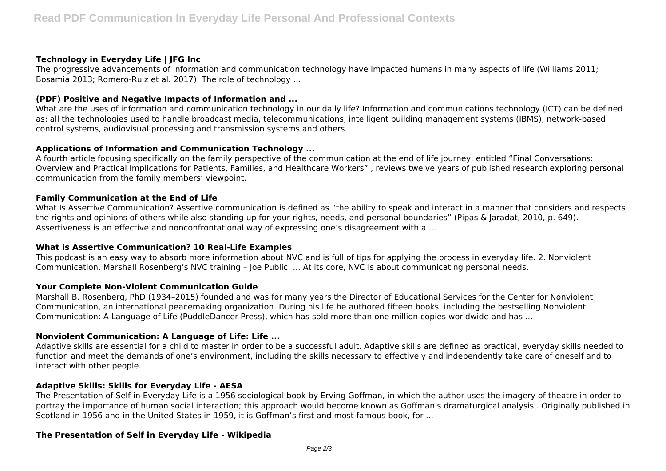# **Technology in Everyday Life | JFG Inc**

The progressive advancements of information and communication technology have impacted humans in many aspects of life (Williams 2011; Bosamia 2013; Romero-Ruiz et al. 2017). The role of technology ...

## **(PDF) Positive and Negative Impacts of Information and ...**

What are the uses of information and communication technology in our daily life? Information and communications technology (ICT) can be defined as: all the technologies used to handle broadcast media, telecommunications, intelligent building management systems (IBMS), network-based control systems, audiovisual processing and transmission systems and others.

# **Applications of Information and Communication Technology ...**

A fourth article focusing specifically on the family perspective of the communication at the end of life journey, entitled "Final Conversations: Overview and Practical Implications for Patients, Families, and Healthcare Workers" , reviews twelve years of published research exploring personal communication from the family members' viewpoint.

## **Family Communication at the End of Life**

What Is Assertive Communication? Assertive communication is defined as "the ability to speak and interact in a manner that considers and respects the rights and opinions of others while also standing up for your rights, needs, and personal boundaries" (Pipas & Jaradat, 2010, p. 649). Assertiveness is an effective and nonconfrontational way of expressing one's disagreement with a ...

# **What is Assertive Communication? 10 Real-Life Examples**

This podcast is an easy way to absorb more information about NVC and is full of tips for applying the process in everyday life. 2. Nonviolent Communication, Marshall Rosenberg's NVC training – Joe Public. ... At its core, NVC is about communicating personal needs.

#### **Your Complete Non-Violent Communication Guide**

Marshall B. Rosenberg, PhD (1934–2015) founded and was for many years the Director of Educational Services for the Center for Nonviolent Communication, an international peacemaking organization. During his life he authored fifteen books, including the bestselling Nonviolent Communication: A Language of Life (PuddleDancer Press), which has sold more than one million copies worldwide and has ...

# **Nonviolent Communication: A Language of Life: Life ...**

Adaptive skills are essential for a child to master in order to be a successful adult. Adaptive skills are defined as practical, everyday skills needed to function and meet the demands of one's environment, including the skills necessary to effectively and independently take care of oneself and to interact with other people.

#### **Adaptive Skills: Skills for Everyday Life - AESA**

The Presentation of Self in Everyday Life is a 1956 sociological book by Erving Goffman, in which the author uses the imagery of theatre in order to portray the importance of human social interaction; this approach would become known as Goffman's dramaturgical analysis.. Originally published in Scotland in 1956 and in the United States in 1959, it is Goffman's first and most famous book, for ...

# **The Presentation of Self in Everyday Life - Wikipedia**